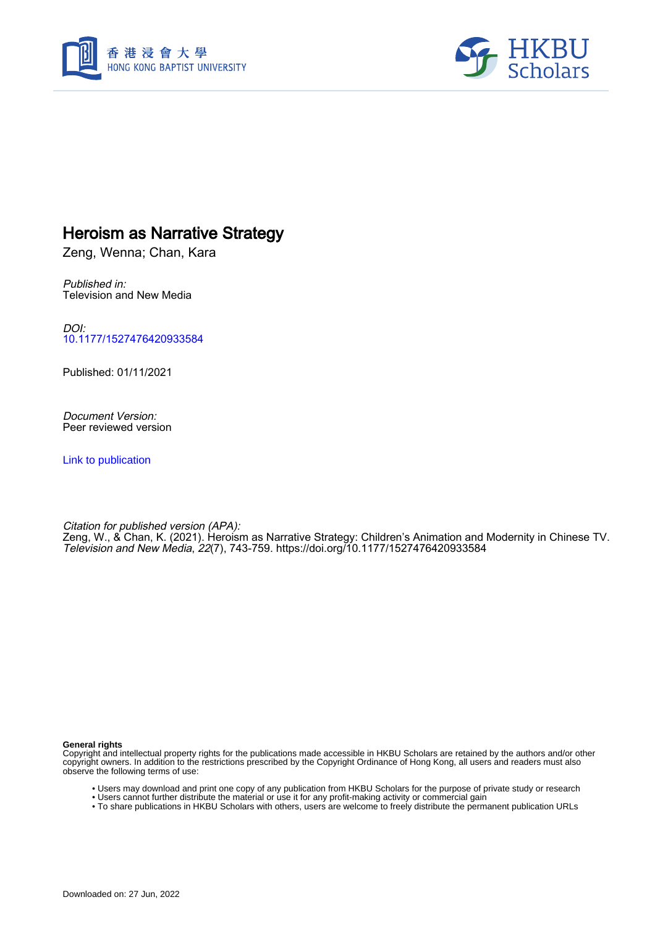



# Heroism as Narrative Strategy

Zeng, Wenna; Chan, Kara

Published in: Television and New Media

DOI: [10.1177/1527476420933584](https://doi.org/10.1177/1527476420933584)

Published: 01/11/2021

Document Version: Peer reviewed version

[Link to publication](https://scholars.hkbu.edu.hk/en/publications/e25b4a1d-4005-4a7a-950f-1f32247598c8)

Citation for published version (APA): Zeng, W., & Chan, K. (2021). Heroism as Narrative Strategy: Children's Animation and Modernity in Chinese TV. Television and New Media, 22(7), 743-759. <https://doi.org/10.1177/1527476420933584>

**General rights**

Copyright and intellectual property rights for the publications made accessible in HKBU Scholars are retained by the authors and/or other copyright owners. In addition to the restrictions prescribed by the Copyright Ordinance of Hong Kong, all users and readers must also observe the following terms of use:

- Users may download and print one copy of any publication from HKBU Scholars for the purpose of private study or research
- Users cannot further distribute the material or use it for any profit-making activity or commercial gain
- To share publications in HKBU Scholars with others, users are welcome to freely distribute the permanent publication URLs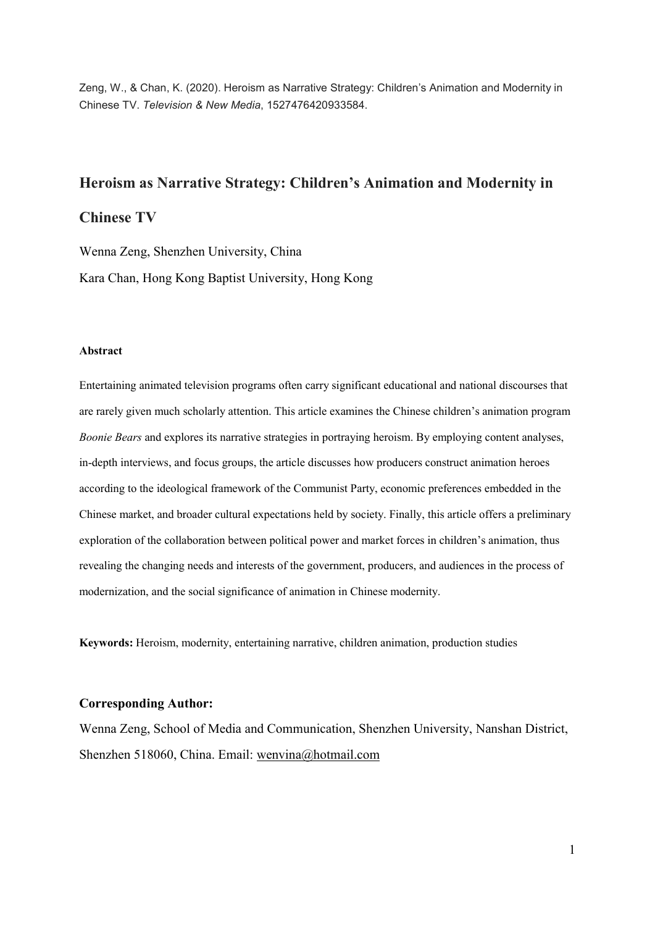Zeng, W., & Chan, K. (2020). Heroism as Narrative Strategy: Children's Animation and Modernity in Chinese TV. Television & New Media, 1527476420933584.

## Heroism as Narrative Strategy: Children's Animation and Modernity in

## Chinese TV

Wenna Zeng, Shenzhen University, China Kara Chan, Hong Kong Baptist University, Hong Kong

#### Abstract

Entertaining animated television programs often carry significant educational and national discourses that are rarely given much scholarly attention. This article examines the Chinese children's animation program Boonie Bears and explores its narrative strategies in portraying heroism. By employing content analyses, in-depth interviews, and focus groups, the article discusses how producers construct animation heroes according to the ideological framework of the Communist Party, economic preferences embedded in the Chinese market, and broader cultural expectations held by society. Finally, this article offers a preliminary exploration of the collaboration between political power and market forces in children's animation, thus revealing the changing needs and interests of the government, producers, and audiences in the process of modernization, and the social significance of animation in Chinese modernity.

Keywords: Heroism, modernity, entertaining narrative, children animation, production studies

## Corresponding Author:

Wenna Zeng, School of Media and Communication, Shenzhen University, Nanshan District, Shenzhen 518060, China. Email: wenvina@hotmail.com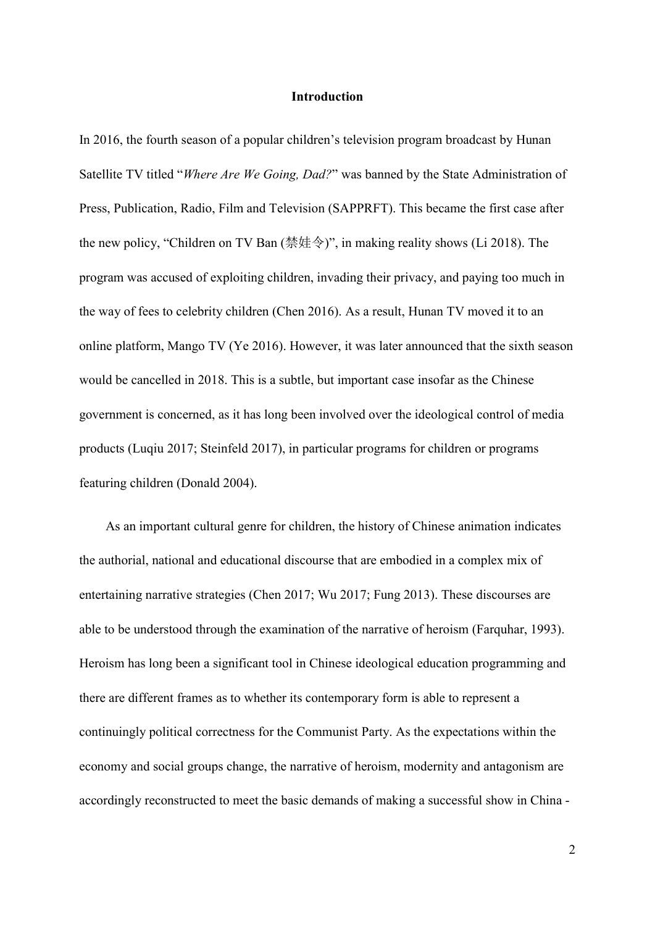## Introduction

In 2016, the fourth season of a popular children's television program broadcast by Hunan Satellite TV titled "Where Are We Going, Dad?" was banned by the State Administration of Press, Publication, Radio, Film and Television (SAPPRFT). This became the first case after the new policy, "Children on TV Ban (禁娃令)", in making reality shows (Li 2018). The program was accused of exploiting children, invading their privacy, and paying too much in the way of fees to celebrity children (Chen 2016). As a result, Hunan TV moved it to an online platform, Mango TV (Ye 2016). However, it was later announced that the sixth season would be cancelled in 2018. This is a subtle, but important case insofar as the Chinese government is concerned, as it has long been involved over the ideological control of media products (Luqiu 2017; Steinfeld 2017), in particular programs for children or programs featuring children (Donald 2004).

As an important cultural genre for children, the history of Chinese animation indicates the authorial, national and educational discourse that are embodied in a complex mix of entertaining narrative strategies (Chen 2017; Wu 2017; Fung 2013). These discourses are able to be understood through the examination of the narrative of heroism (Farquhar, 1993). Heroism has long been a significant tool in Chinese ideological education programming and there are different frames as to whether its contemporary form is able to represent a continuingly political correctness for the Communist Party. As the expectations within the economy and social groups change, the narrative of heroism, modernity and antagonism are accordingly reconstructed to meet the basic demands of making a successful show in China -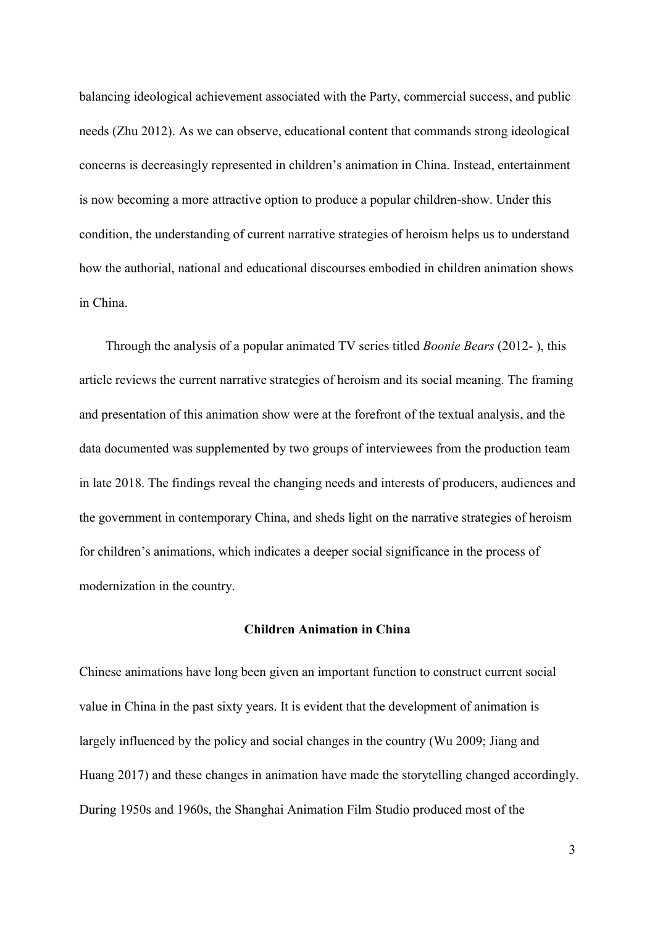balancing ideological achievement associated with the Party, commercial success, and public needs (Zhu 2012). As we can observe, educational content that commands strong ideological concerns is decreasingly represented in children's animation in China. Instead, entertainment is now becoming a more attractive option to produce a popular children-show. Under this condition, the understanding of current narrative strategies of heroism helps us to understand how the authorial, national and educational discourses embodied in children animation shows in China.

Through the analysis of a popular animated TV series titled *Boonie Bears* (2012-), this article reviews the current narrative strategies of heroism and its social meaning. The framing and presentation of this animation show were at the forefront of the textual analysis, and the data documented was supplemented by two groups of interviewees from the production team in late 2018. The findings reveal the changing needs and interests of producers, audiences and the government in contemporary China, and sheds light on the narrative strategies of heroism for children's animations, which indicates a deeper social significance in the process of modernization in the country.

### Children Animation in China

Chinese animations have long been given an important function to construct current social value in China in the past sixty years. It is evident that the development of animation is largely influenced by the policy and social changes in the country (Wu 2009; Jiang and Huang 2017) and these changes in animation have made the storytelling changed accordingly. During 1950s and 1960s, the Shanghai Animation Film Studio produced most of the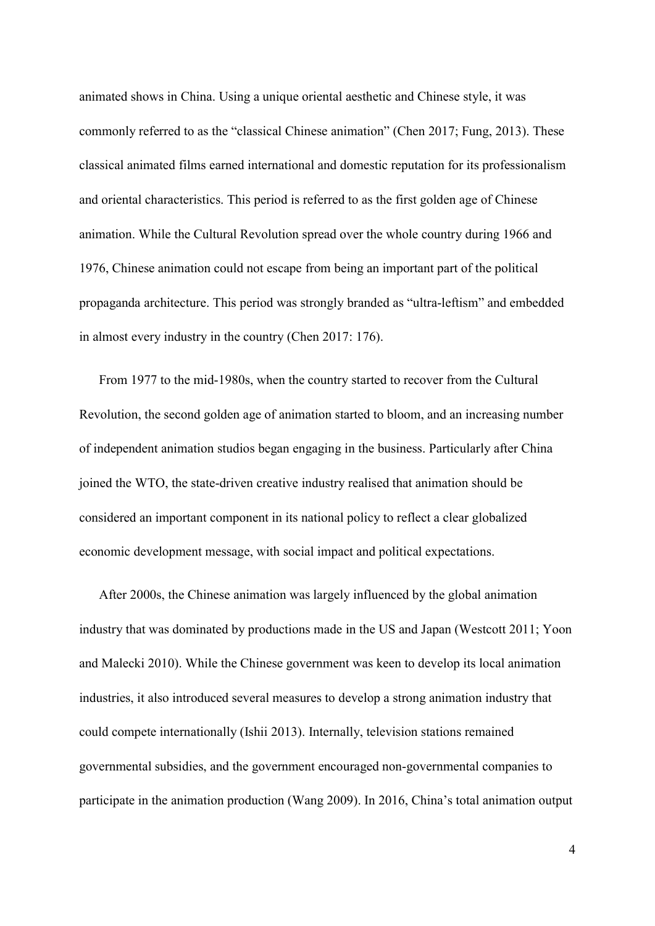animated shows in China. Using a unique oriental aesthetic and Chinese style, it was commonly referred to as the "classical Chinese animation" (Chen 2017; Fung, 2013). These classical animated films earned international and domestic reputation for its professionalism and oriental characteristics. This period is referred to as the first golden age of Chinese animation. While the Cultural Revolution spread over the whole country during 1966 and 1976, Chinese animation could not escape from being an important part of the political propaganda architecture. This period was strongly branded as "ultra-leftism" and embedded in almost every industry in the country (Chen 2017: 176).

From 1977 to the mid-1980s, when the country started to recover from the Cultural Revolution, the second golden age of animation started to bloom, and an increasing number of independent animation studios began engaging in the business. Particularly after China joined the WTO, the state-driven creative industry realised that animation should be considered an important component in its national policy to reflect a clear globalized economic development message, with social impact and political expectations.

After 2000s, the Chinese animation was largely influenced by the global animation industry that was dominated by productions made in the US and Japan (Westcott 2011; Yoon and Malecki 2010). While the Chinese government was keen to develop its local animation industries, it also introduced several measures to develop a strong animation industry that could compete internationally (Ishii 2013). Internally, television stations remained governmental subsidies, and the government encouraged non-governmental companies to participate in the animation production (Wang 2009). In 2016, China's total animation output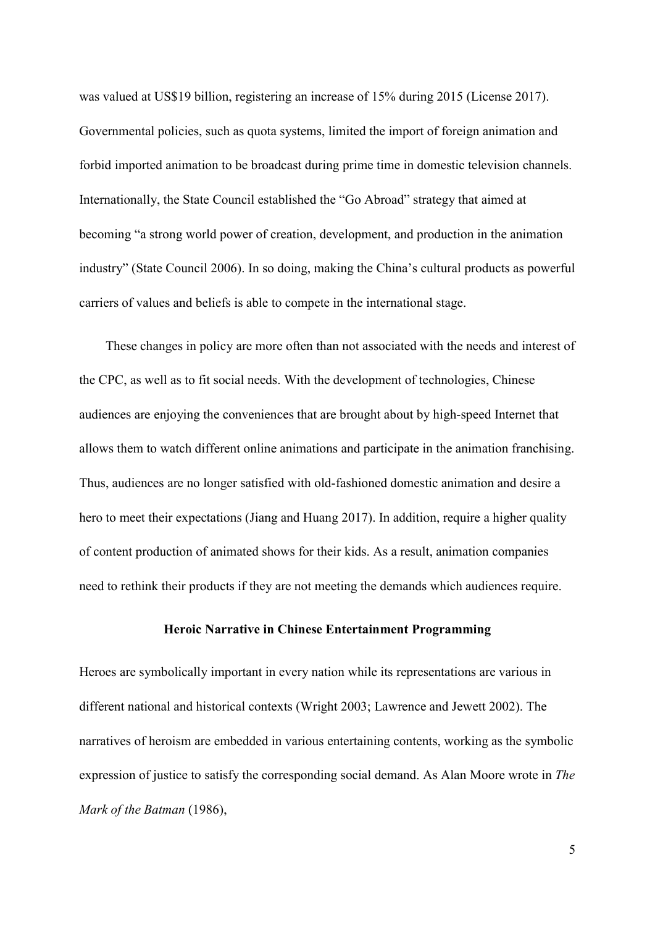was valued at US\$19 billion, registering an increase of 15% during 2015 (License 2017). Governmental policies, such as quota systems, limited the import of foreign animation and forbid imported animation to be broadcast during prime time in domestic television channels. Internationally, the State Council established the "Go Abroad" strategy that aimed at becoming "a strong world power of creation, development, and production in the animation industry" (State Council 2006). In so doing, making the China's cultural products as powerful carriers of values and beliefs is able to compete in the international stage.

These changes in policy are more often than not associated with the needs and interest of the CPC, as well as to fit social needs. With the development of technologies, Chinese audiences are enjoying the conveniences that are brought about by high-speed Internet that allows them to watch different online animations and participate in the animation franchising. Thus, audiences are no longer satisfied with old-fashioned domestic animation and desire a hero to meet their expectations (Jiang and Huang 2017). In addition, require a higher quality of content production of animated shows for their kids. As a result, animation companies need to rethink their products if they are not meeting the demands which audiences require.

#### Heroic Narrative in Chinese Entertainment Programming

Heroes are symbolically important in every nation while its representations are various in different national and historical contexts (Wright 2003; Lawrence and Jewett 2002). The narratives of heroism are embedded in various entertaining contents, working as the symbolic expression of justice to satisfy the corresponding social demand. As Alan Moore wrote in The Mark of the Batman (1986),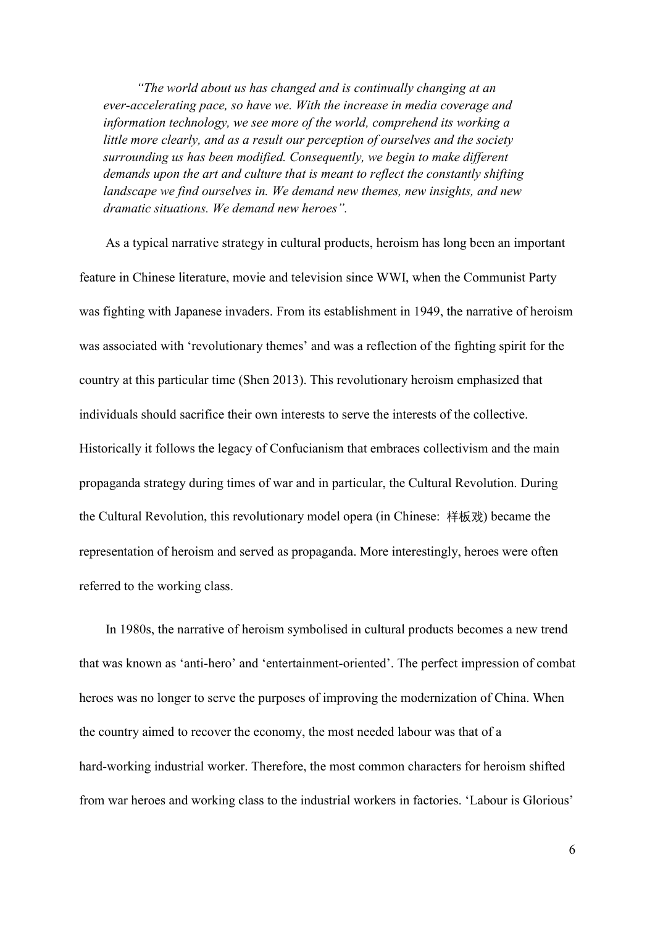"The world about us has changed and is continually changing at an ever-accelerating pace, so have we. With the increase in media coverage and information technology, we see more of the world, comprehend its working a little more clearly, and as a result our perception of ourselves and the society surrounding us has been modified. Consequently, we begin to make different demands upon the art and culture that is meant to reflect the constantly shifting landscape we find ourselves in. We demand new themes, new insights, and new dramatic situations. We demand new heroes".

As a typical narrative strategy in cultural products, heroism has long been an important feature in Chinese literature, movie and television since WWІ, when the Communist Party was fighting with Japanese invaders. From its establishment in 1949, the narrative of heroism was associated with 'revolutionary themes' and was a reflection of the fighting spirit for the country at this particular time (Shen 2013). This revolutionary heroism emphasized that individuals should sacrifice their own interests to serve the interests of the collective. Historically it follows the legacy of Confucianism that embraces collectivism and the main propaganda strategy during times of war and in particular, the Cultural Revolution. During the Cultural Revolution, this revolutionary model opera (in Chinese: 样板戏) became the representation of heroism and served as propaganda. More interestingly, heroes were often referred to the working class.

In 1980s, the narrative of heroism symbolised in cultural products becomes a new trend that was known as 'anti-hero' and 'entertainment-oriented'. The perfect impression of combat heroes was no longer to serve the purposes of improving the modernization of China. When the country aimed to recover the economy, the most needed labour was that of a hard-working industrial worker. Therefore, the most common characters for heroism shifted from war heroes and working class to the industrial workers in factories. 'Labour is Glorious'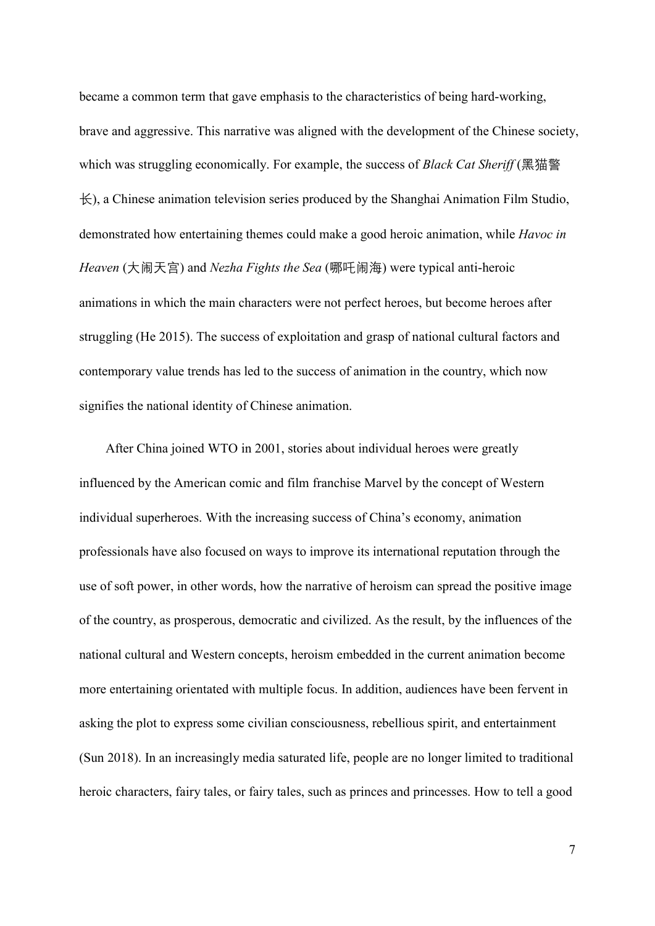became a common term that gave emphasis to the characteristics of being hard-working, brave and aggressive. This narrative was aligned with the development of the Chinese society, which was struggling economically. For example, the success of *Black Cat Sheriff* (黑猫警  $\pm$ ), a Chinese animation television series produced by the Shanghai Animation Film Studio, demonstrated how entertaining themes could make a good heroic animation, while *Havoc in* Heaven (大闹天宫) and Nezha Fights the Sea (哪吒闹海) were typical anti-heroic animations in which the main characters were not perfect heroes, but become heroes after struggling (He 2015). The success of exploitation and grasp of national cultural factors and contemporary value trends has led to the success of animation in the country, which now signifies the national identity of Chinese animation.

After China joined WTO in 2001, stories about individual heroes were greatly influenced by the American comic and film franchise Marvel by the concept of Western individual superheroes. With the increasing success of China's economy, animation professionals have also focused on ways to improve its international reputation through the use of soft power, in other words, how the narrative of heroism can spread the positive image of the country, as prosperous, democratic and civilized. As the result, by the influences of the national cultural and Western concepts, heroism embedded in the current animation become more entertaining orientated with multiple focus. In addition, audiences have been fervent in asking the plot to express some civilian consciousness, rebellious spirit, and entertainment (Sun 2018). In an increasingly media saturated life, people are no longer limited to traditional heroic characters, fairy tales, or fairy tales, such as princes and princesses. How to tell a good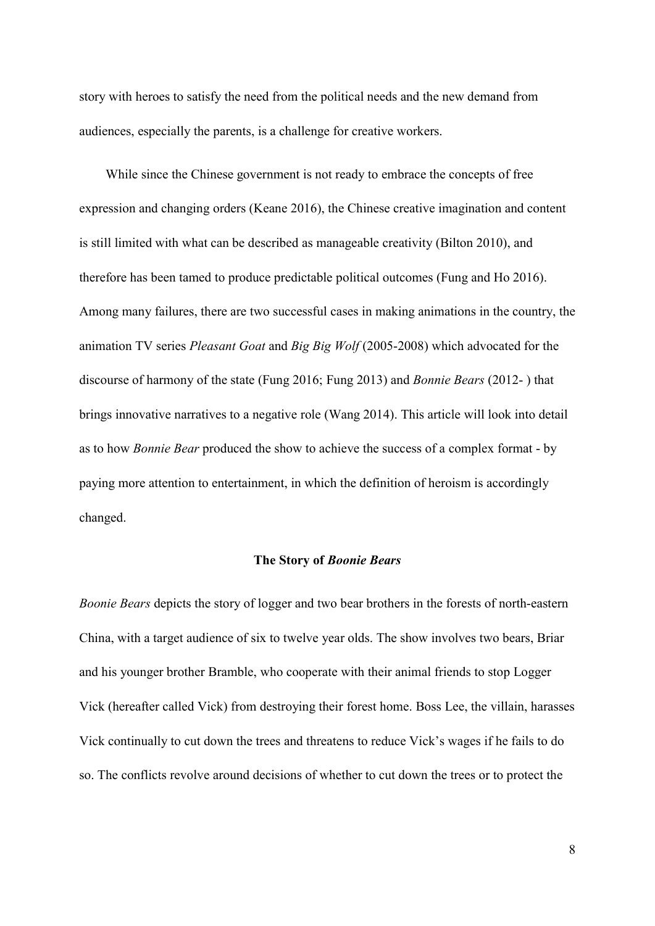story with heroes to satisfy the need from the political needs and the new demand from audiences, especially the parents, is a challenge for creative workers.

While since the Chinese government is not ready to embrace the concepts of free expression and changing orders (Keane 2016), the Chinese creative imagination and content is still limited with what can be described as manageable creativity (Bilton 2010), and therefore has been tamed to produce predictable political outcomes (Fung and Ho 2016). Among many failures, there are two successful cases in making animations in the country, the animation TV series Pleasant Goat and Big Big Wolf (2005-2008) which advocated for the discourse of harmony of the state (Fung 2016; Fung 2013) and Bonnie Bears (2012- ) that brings innovative narratives to a negative role (Wang 2014). This article will look into detail as to how Bonnie Bear produced the show to achieve the success of a complex format - by paying more attention to entertainment, in which the definition of heroism is accordingly changed.

## The Story of Boonie Bears

Boonie Bears depicts the story of logger and two bear brothers in the forests of north-eastern China, with a target audience of six to twelve year olds. The show involves two bears, Briar and his younger brother Bramble, who cooperate with their animal friends to stop Logger Vick (hereafter called Vick) from destroying their forest home. Boss Lee, the villain, harasses Vick continually to cut down the trees and threatens to reduce Vick's wages if he fails to do so. The conflicts revolve around decisions of whether to cut down the trees or to protect the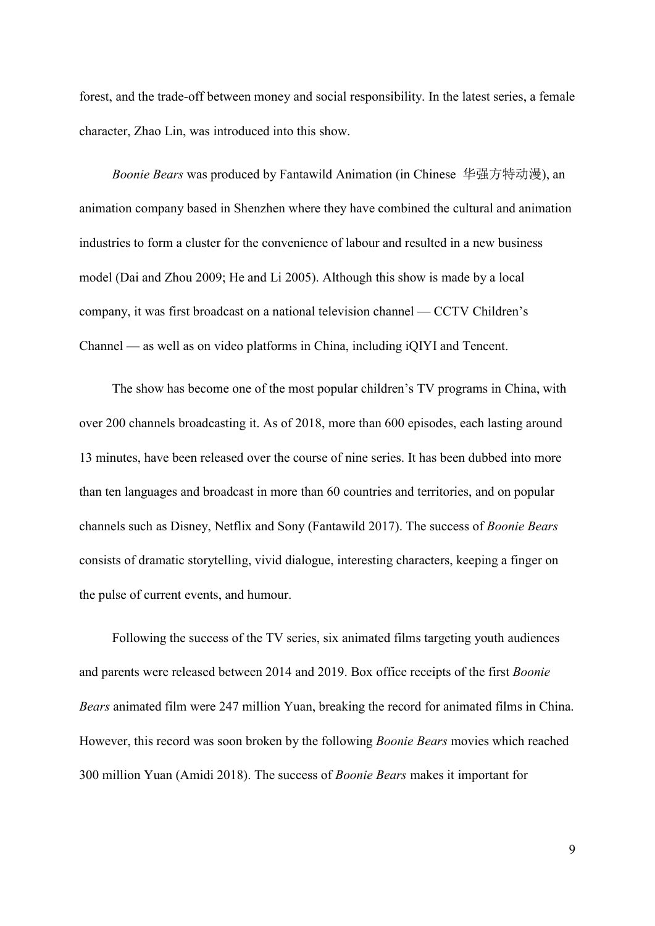forest, and the trade-off between money and social responsibility. In the latest series, a female character, Zhao Lin, was introduced into this show.

Boonie Bears was produced by Fantawild Animation (in Chinese 华强方特动漫), an animation company based in Shenzhen where they have combined the cultural and animation industries to form a cluster for the convenience of labour and resulted in a new business model (Dai and Zhou 2009; He and Li 2005). Although this show is made by a local company, it was first broadcast on a national television channel — CCTV Children's Channel — as well as on video platforms in China, including iQIYI and Tencent.

The show has become one of the most popular children's TV programs in China, with over 200 channels broadcasting it. As of 2018, more than 600 episodes, each lasting around 13 minutes, have been released over the course of nine series. It has been dubbed into more than ten languages and broadcast in more than 60 countries and territories, and on popular channels such as Disney, Netflix and Sony (Fantawild 2017). The success of Boonie Bears consists of dramatic storytelling, vivid dialogue, interesting characters, keeping a finger on the pulse of current events, and humour.

Following the success of the TV series, six animated films targeting youth audiences and parents were released between 2014 and 2019. Box office receipts of the first Boonie Bears animated film were 247 million Yuan, breaking the record for animated films in China. However, this record was soon broken by the following Boonie Bears movies which reached 300 million Yuan (Amidi 2018). The success of Boonie Bears makes it important for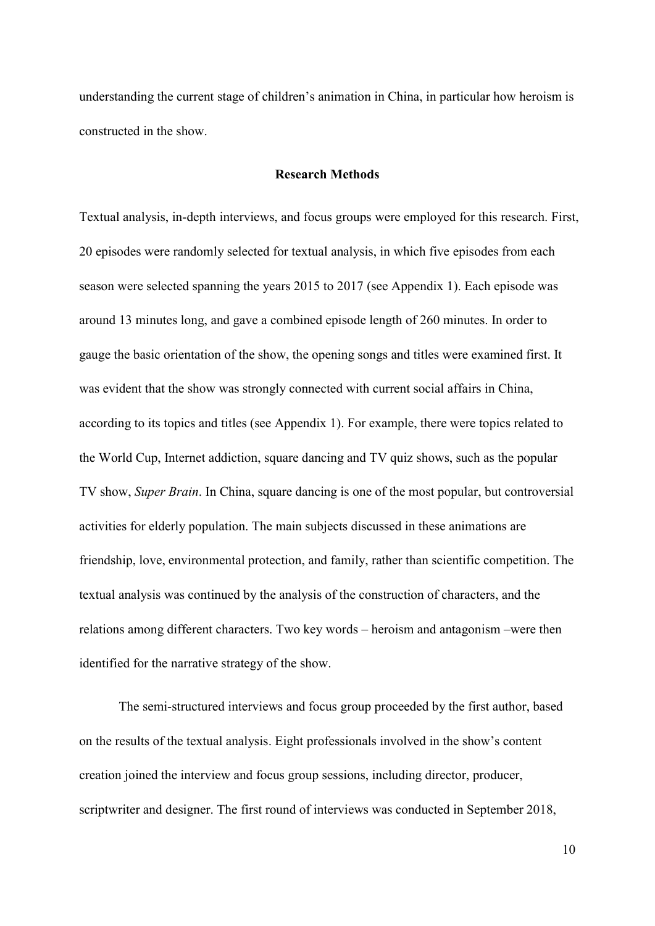understanding the current stage of children's animation in China, in particular how heroism is constructed in the show.

## Research Methods

Textual analysis, in-depth interviews, and focus groups were employed for this research. First, 20 episodes were randomly selected for textual analysis, in which five episodes from each season were selected spanning the years 2015 to 2017 (see Appendix 1). Each episode was around 13 minutes long, and gave a combined episode length of 260 minutes. In order to gauge the basic orientation of the show, the opening songs and titles were examined first. It was evident that the show was strongly connected with current social affairs in China, according to its topics and titles (see Appendix 1). For example, there were topics related to the World Cup, Internet addiction, square dancing and TV quiz shows, such as the popular TV show, Super Brain. In China, square dancing is one of the most popular, but controversial activities for elderly population. The main subjects discussed in these animations are friendship, love, environmental protection, and family, rather than scientific competition. The textual analysis was continued by the analysis of the construction of characters, and the relations among different characters. Two key words – heroism and antagonism –were then identified for the narrative strategy of the show.

The semi-structured interviews and focus group proceeded by the first author, based on the results of the textual analysis. Eight professionals involved in the show's content creation joined the interview and focus group sessions, including director, producer, scriptwriter and designer. The first round of interviews was conducted in September 2018,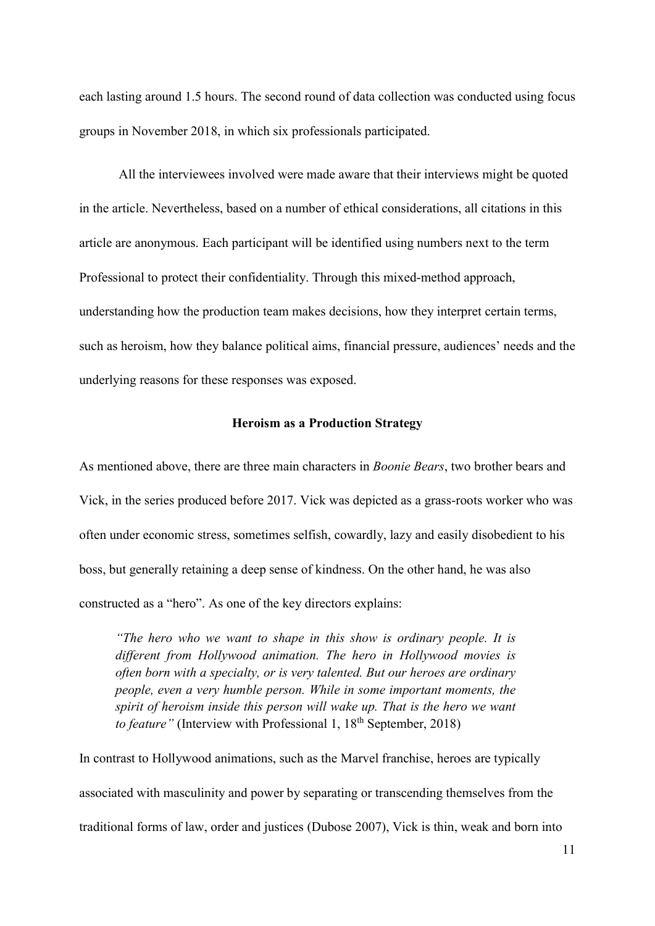each lasting around 1.5 hours. The second round of data collection was conducted using focus groups in November 2018, in which six professionals participated.

All the interviewees involved were made aware that their interviews might be quoted in the article. Nevertheless, based on a number of ethical considerations, all citations in this article are anonymous. Each participant will be identified using numbers next to the term Professional to protect their confidentiality. Through this mixed-method approach, understanding how the production team makes decisions, how they interpret certain terms, such as heroism, how they balance political aims, financial pressure, audiences' needs and the underlying reasons for these responses was exposed.

## Heroism as a Production Strategy

As mentioned above, there are three main characters in Boonie Bears, two brother bears and Vick, in the series produced before 2017. Vick was depicted as a grass-roots worker who was often under economic stress, sometimes selfish, cowardly, lazy and easily disobedient to his boss, but generally retaining a deep sense of kindness. On the other hand, he was also constructed as a "hero". As one of the key directors explains:

"The hero who we want to shape in this show is ordinary people. It is different from Hollywood animation. The hero in Hollywood movies is often born with a specialty, or is very talented. But our heroes are ordinary people, even a very humble person. While in some important moments, the spirit of heroism inside this person will wake up. That is the hero we want to feature" (Interview with Professional 1,  $18<sup>th</sup>$  September, 2018)

In contrast to Hollywood animations, such as the Marvel franchise, heroes are typically associated with masculinity and power by separating or transcending themselves from the traditional forms of law, order and justices (Dubose 2007), Vick is thin, weak and born into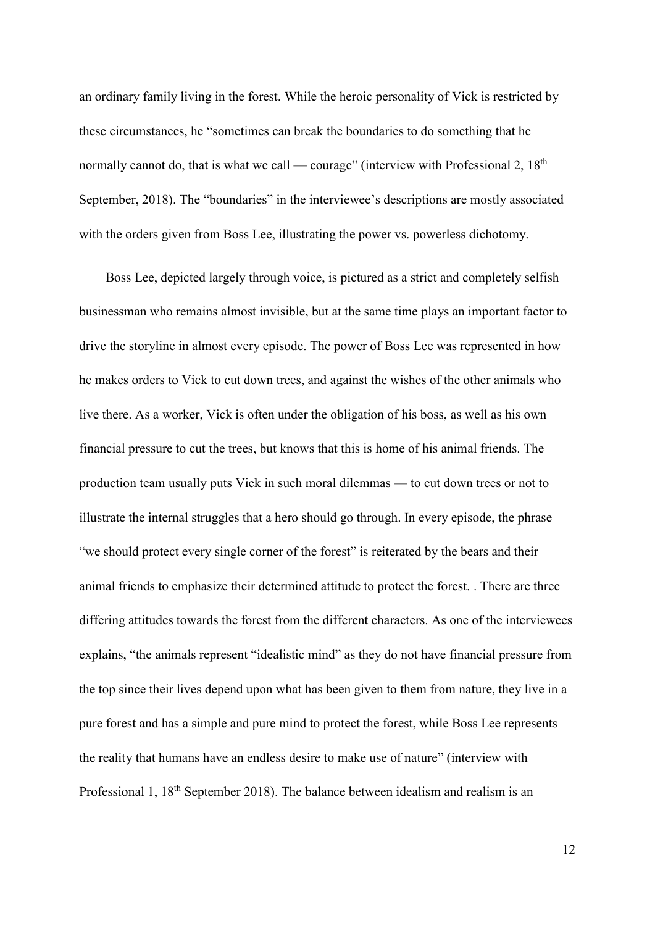an ordinary family living in the forest. While the heroic personality of Vick is restricted by these circumstances, he "sometimes can break the boundaries to do something that he normally cannot do, that is what we call — courage" (interview with Professional 2,  $18<sup>th</sup>$ September, 2018). The "boundaries" in the interviewee's descriptions are mostly associated with the orders given from Boss Lee, illustrating the power vs. powerless dichotomy.

Boss Lee, depicted largely through voice, is pictured as a strict and completely selfish businessman who remains almost invisible, but at the same time plays an important factor to drive the storyline in almost every episode. The power of Boss Lee was represented in how he makes orders to Vick to cut down trees, and against the wishes of the other animals who live there. As a worker, Vick is often under the obligation of his boss, as well as his own financial pressure to cut the trees, but knows that this is home of his animal friends. The production team usually puts Vick in such moral dilemmas — to cut down trees or not to illustrate the internal struggles that a hero should go through. In every episode, the phrase "we should protect every single corner of the forest" is reiterated by the bears and their animal friends to emphasize their determined attitude to protect the forest. . There are three differing attitudes towards the forest from the different characters. As one of the interviewees explains, "the animals represent "idealistic mind" as they do not have financial pressure from the top since their lives depend upon what has been given to them from nature, they live in a pure forest and has a simple and pure mind to protect the forest, while Boss Lee represents the reality that humans have an endless desire to make use of nature" (interview with Professional 1, 18<sup>th</sup> September 2018). The balance between idealism and realism is an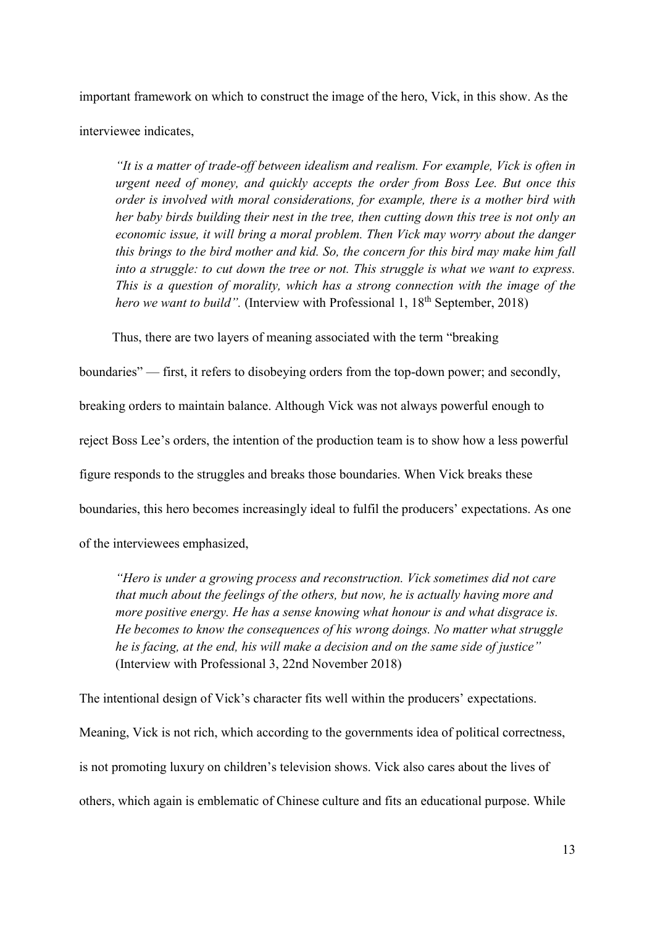important framework on which to construct the image of the hero, Vick, in this show. As the interviewee indicates,

"It is a matter of trade-off between idealism and realism. For example, Vick is often in urgent need of money, and quickly accepts the order from Boss Lee. But once this order is involved with moral considerations, for example, there is a mother bird with her baby birds building their nest in the tree, then cutting down this tree is not only an economic issue, it will bring a moral problem. Then Vick may worry about the danger this brings to the bird mother and kid. So, the concern for this bird may make him fall into a struggle: to cut down the tree or not. This struggle is what we want to express. This is a question of morality, which has a strong connection with the image of the hero we want to build". (Interview with Professional 1,  $18<sup>th</sup>$  September, 2018)

Thus, there are two layers of meaning associated with the term "breaking

boundaries" — first, it refers to disobeying orders from the top-down power; and secondly, breaking orders to maintain balance. Although Vick was not always powerful enough to reject Boss Lee's orders, the intention of the production team is to show how a less powerful figure responds to the struggles and breaks those boundaries. When Vick breaks these boundaries, this hero becomes increasingly ideal to fulfil the producers' expectations. As one of the interviewees emphasized,

"Hero is under a growing process and reconstruction. Vick sometimes did not care that much about the feelings of the others, but now, he is actually having more and more positive energy. He has a sense knowing what honour is and what disgrace is. He becomes to know the consequences of his wrong doings. No matter what struggle he is facing, at the end, his will make a decision and on the same side of justice" (Interview with Professional 3, 22nd November 2018)

The intentional design of Vick's character fits well within the producers' expectations. Meaning, Vick is not rich, which according to the governments idea of political correctness, is not promoting luxury on children's television shows. Vick also cares about the lives of others, which again is emblematic of Chinese culture and fits an educational purpose. While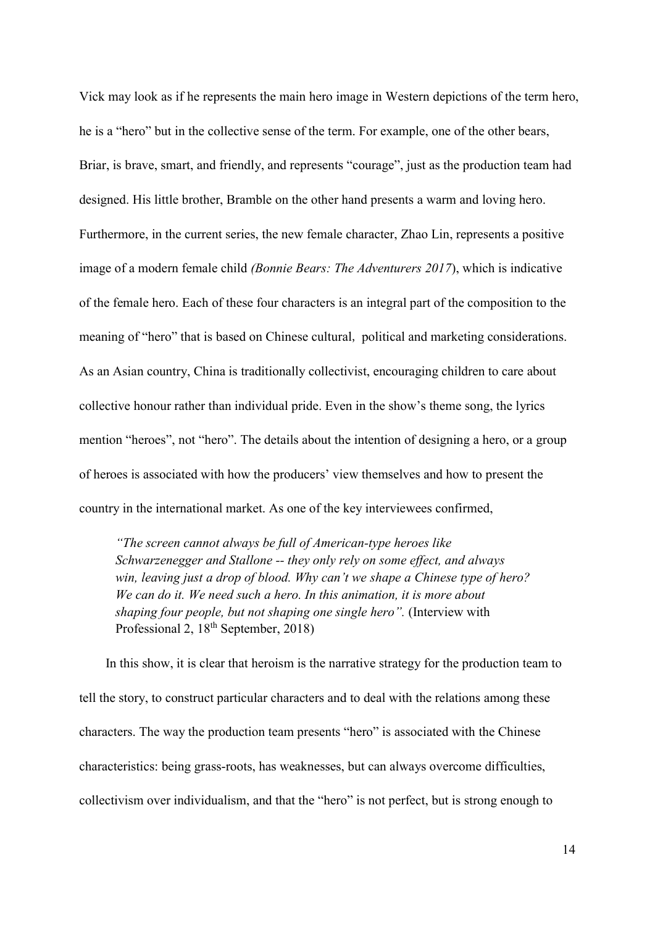Vick may look as if he represents the main hero image in Western depictions of the term hero, he is a "hero" but in the collective sense of the term. For example, one of the other bears, Briar, is brave, smart, and friendly, and represents "courage", just as the production team had designed. His little brother, Bramble on the other hand presents a warm and loving hero. Furthermore, in the current series, the new female character, Zhao Lin, represents a positive image of a modern female child (Bonnie Bears: The Adventurers 2017), which is indicative of the female hero. Each of these four characters is an integral part of the composition to the meaning of "hero" that is based on Chinese cultural, political and marketing considerations. As an Asian country, China is traditionally collectivist, encouraging children to care about collective honour rather than individual pride. Even in the show's theme song, the lyrics mention "heroes", not "hero". The details about the intention of designing a hero, or a group of heroes is associated with how the producers' view themselves and how to present the country in the international market. As one of the key interviewees confirmed,

"The screen cannot always be full of American-type heroes like Schwarzenegger and Stallone -- they only rely on some effect, and always win, leaving just a drop of blood. Why can't we shape a Chinese type of hero? We can do it. We need such a hero. In this animation, it is more about shaping four people, but not shaping one single hero". (Interview with Professional 2, 18<sup>th</sup> September, 2018)

In this show, it is clear that heroism is the narrative strategy for the production team to tell the story, to construct particular characters and to deal with the relations among these characters. The way the production team presents "hero" is associated with the Chinese characteristics: being grass-roots, has weaknesses, but can always overcome difficulties, collectivism over individualism, and that the "hero" is not perfect, but is strong enough to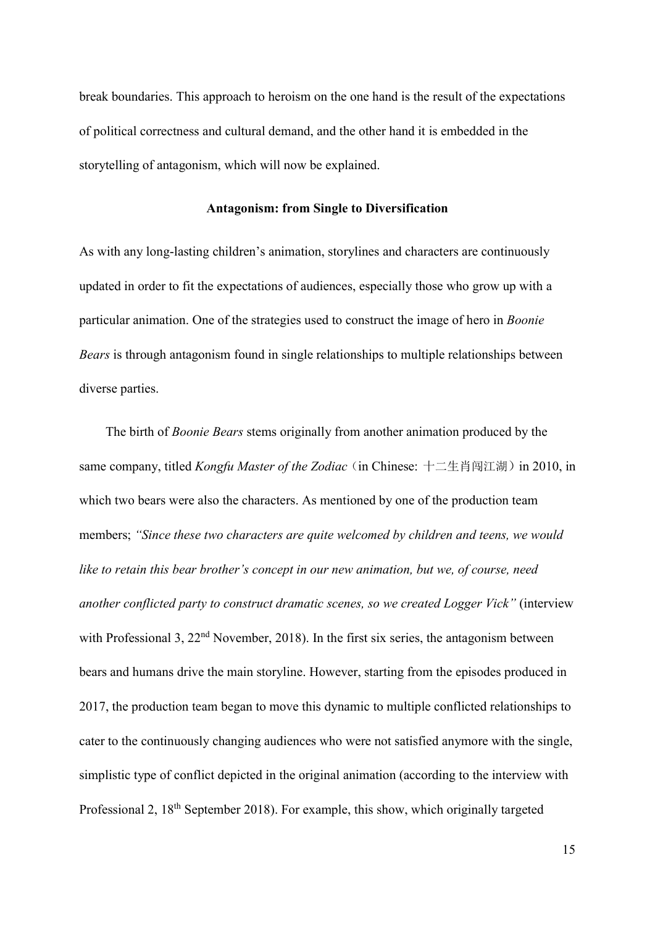break boundaries. This approach to heroism on the one hand is the result of the expectations of political correctness and cultural demand, and the other hand it is embedded in the storytelling of antagonism, which will now be explained.

## Antagonism: from Single to Diversification

As with any long-lasting children's animation, storylines and characters are continuously updated in order to fit the expectations of audiences, especially those who grow up with a particular animation. One of the strategies used to construct the image of hero in Boonie Bears is through antagonism found in single relationships to multiple relationships between diverse parties.

The birth of Boonie Bears stems originally from another animation produced by the same company, titled *Kongfu Master of the Zodiac* (in Chinese:  $+ \angle \pm i \sin \theta$ ) in 2010, in which two bears were also the characters. As mentioned by one of the production team members; "Since these two characters are quite welcomed by children and teens, we would like to retain this bear brother's concept in our new animation, but we, of course, need another conflicted party to construct dramatic scenes, so we created Logger Vick" (interview with Professional 3,  $22<sup>nd</sup>$  November, 2018). In the first six series, the antagonism between bears and humans drive the main storyline. However, starting from the episodes produced in 2017, the production team began to move this dynamic to multiple conflicted relationships to cater to the continuously changing audiences who were not satisfied anymore with the single, simplistic type of conflict depicted in the original animation (according to the interview with Professional 2, 18<sup>th</sup> September 2018). For example, this show, which originally targeted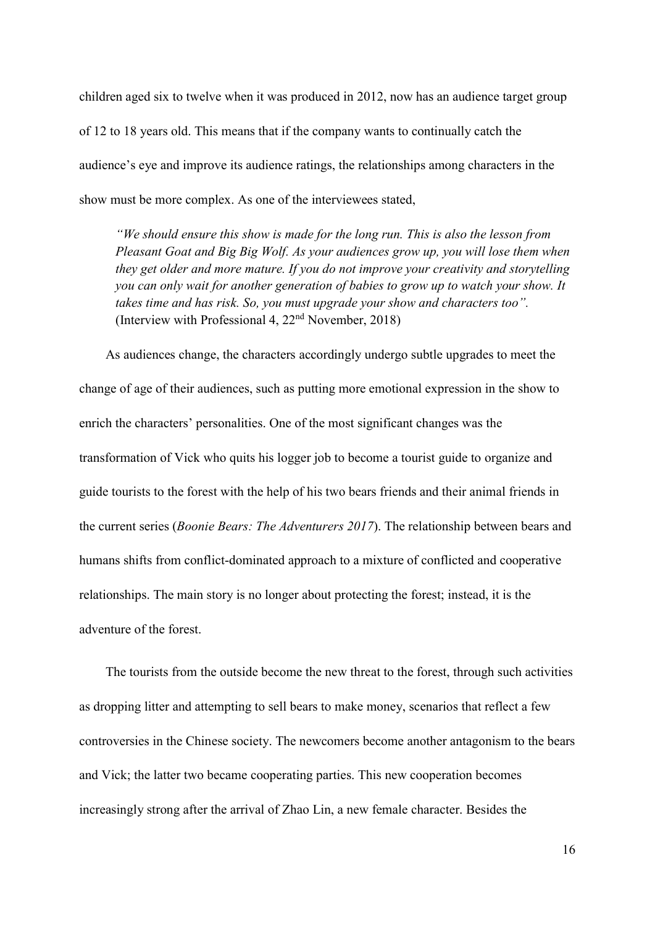children aged six to twelve when it was produced in 2012, now has an audience target group of 12 to 18 years old. This means that if the company wants to continually catch the audience's eye and improve its audience ratings, the relationships among characters in the show must be more complex. As one of the interviewees stated,

"We should ensure this show is made for the long run. This is also the lesson from Pleasant Goat and Big Big Wolf. As your audiences grow up, you will lose them when they get older and more mature. If you do not improve your creativity and storytelling you can only wait for another generation of babies to grow up to watch your show. It takes time and has risk. So, you must upgrade your show and characters too". (Interview with Professional 4,  $22<sup>nd</sup>$  November, 2018)

As audiences change, the characters accordingly undergo subtle upgrades to meet the change of age of their audiences, such as putting more emotional expression in the show to enrich the characters' personalities. One of the most significant changes was the transformation of Vick who quits his logger job to become a tourist guide to organize and guide tourists to the forest with the help of his two bears friends and their animal friends in the current series (Boonie Bears: The Adventurers 2017). The relationship between bears and humans shifts from conflict-dominated approach to a mixture of conflicted and cooperative relationships. The main story is no longer about protecting the forest; instead, it is the adventure of the forest.

The tourists from the outside become the new threat to the forest, through such activities as dropping litter and attempting to sell bears to make money, scenarios that reflect a few controversies in the Chinese society. The newcomers become another antagonism to the bears and Vick; the latter two became cooperating parties. This new cooperation becomes increasingly strong after the arrival of Zhao Lin, a new female character. Besides the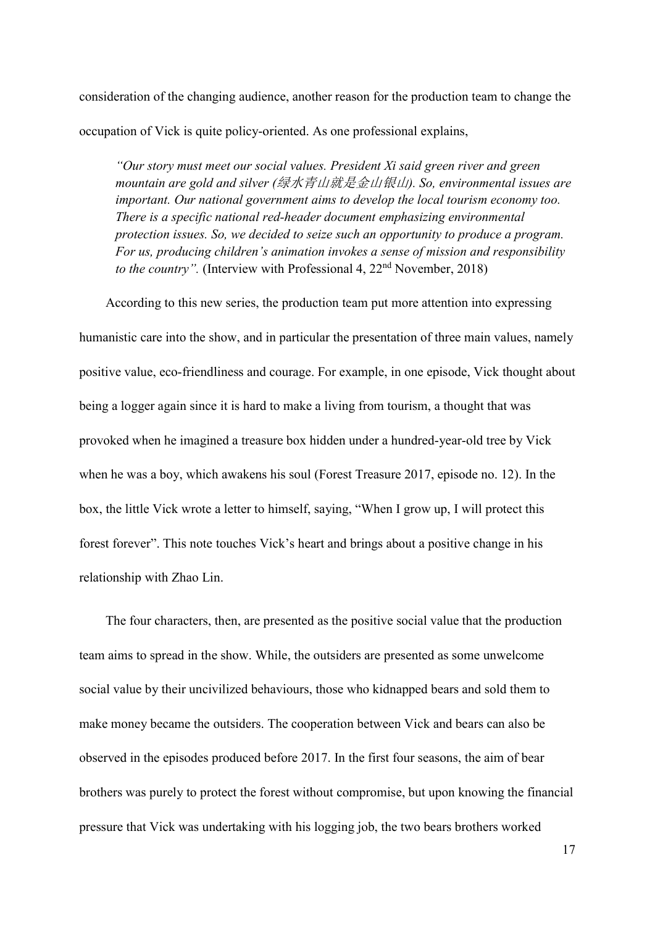consideration of the changing audience, another reason for the production team to change the occupation of Vick is quite policy-oriented. As one professional explains,

"Our story must meet our social values. President Xi said green river and green mountain are gold and silver (绿水青山就是金山银山). So, environmental issues are important. Our national government aims to develop the local tourism economy too. There is a specific national red-header document emphasizing environmental protection issues. So, we decided to seize such an opportunity to produce a program. For us, producing children's animation invokes a sense of mission and responsibility to the country". (Interview with Professional 4,  $22<sup>nd</sup>$  November, 2018)

According to this new series, the production team put more attention into expressing humanistic care into the show, and in particular the presentation of three main values, namely positive value, eco-friendliness and courage. For example, in one episode, Vick thought about being a logger again since it is hard to make a living from tourism, a thought that was provoked when he imagined a treasure box hidden under a hundred-year-old tree by Vick when he was a boy, which awakens his soul (Forest Treasure 2017, episode no. 12). In the box, the little Vick wrote a letter to himself, saying, "When I grow up, I will protect this forest forever". This note touches Vick's heart and brings about a positive change in his relationship with Zhao Lin.

The four characters, then, are presented as the positive social value that the production team aims to spread in the show. While, the outsiders are presented as some unwelcome social value by their uncivilized behaviours, those who kidnapped bears and sold them to make money became the outsiders. The cooperation between Vick and bears can also be observed in the episodes produced before 2017. In the first four seasons, the aim of bear brothers was purely to protect the forest without compromise, but upon knowing the financial pressure that Vick was undertaking with his logging job, the two bears brothers worked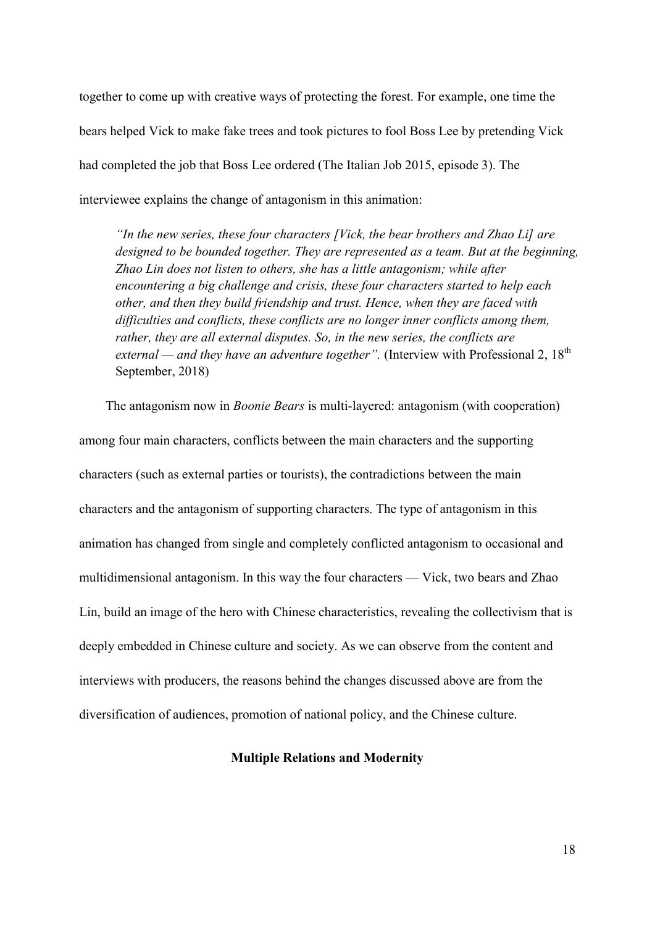together to come up with creative ways of protecting the forest. For example, one time the bears helped Vick to make fake trees and took pictures to fool Boss Lee by pretending Vick had completed the job that Boss Lee ordered (The Italian Job 2015, episode 3). The interviewee explains the change of antagonism in this animation:

"In the new series, these four characters [Vick, the bear brothers and Zhao Li] are designed to be bounded together. They are represented as a team. But at the beginning, Zhao Lin does not listen to others, she has a little antagonism; while after encountering a big challenge and crisis, these four characters started to help each other, and then they build friendship and trust. Hence, when they are faced with difficulties and conflicts, these conflicts are no longer inner conflicts among them, rather, they are all external disputes. So, in the new series, the conflicts are external — and they have an adventure together". (Interview with Professional 2,  $18<sup>th</sup>$ September, 2018)

The antagonism now in *Boonie Bears* is multi-layered: antagonism (with cooperation) among four main characters, conflicts between the main characters and the supporting characters (such as external parties or tourists), the contradictions between the main characters and the antagonism of supporting characters. The type of antagonism in this animation has changed from single and completely conflicted antagonism to occasional and multidimensional antagonism. In this way the four characters — Vick, two bears and Zhao Lin, build an image of the hero with Chinese characteristics, revealing the collectivism that is deeply embedded in Chinese culture and society. As we can observe from the content and interviews with producers, the reasons behind the changes discussed above are from the diversification of audiences, promotion of national policy, and the Chinese culture.

## Multiple Relations and Modernity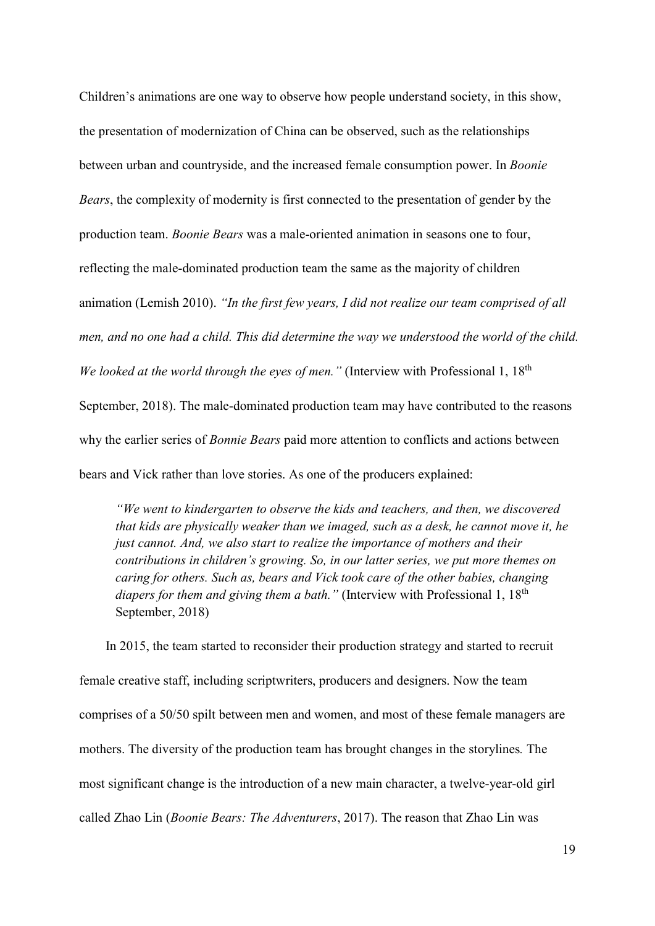Children's animations are one way to observe how people understand society, in this show, the presentation of modernization of China can be observed, such as the relationships between urban and countryside, and the increased female consumption power. In Boonie Bears, the complexity of modernity is first connected to the presentation of gender by the production team. Boonie Bears was a male-oriented animation in seasons one to four, reflecting the male-dominated production team the same as the majority of children animation (Lemish 2010). "In the first few years, I did not realize our team comprised of all men, and no one had a child. This did determine the way we understood the world of the child. We looked at the world through the eyes of men." (Interview with Professional 1,  $18<sup>th</sup>$ September, 2018). The male-dominated production team may have contributed to the reasons why the earlier series of *Bonnie Bears* paid more attention to conflicts and actions between bears and Vick rather than love stories. As one of the producers explained:

"We went to kindergarten to observe the kids and teachers, and then, we discovered that kids are physically weaker than we imaged, such as a desk, he cannot move it, he just cannot. And, we also start to realize the importance of mothers and their contributions in children's growing. So, in our latter series, we put more themes on caring for others. Such as, bears and Vick took care of the other babies, changing diapers for them and giving them a bath." (Interview with Professional 1,  $18<sup>th</sup>$ September, 2018)

In 2015, the team started to reconsider their production strategy and started to recruit female creative staff, including scriptwriters, producers and designers. Now the team comprises of a 50/50 spilt between men and women, and most of these female managers are mothers. The diversity of the production team has brought changes in the storylines. The most significant change is the introduction of a new main character, a twelve-year-old girl called Zhao Lin (Boonie Bears: The Adventurers, 2017). The reason that Zhao Lin was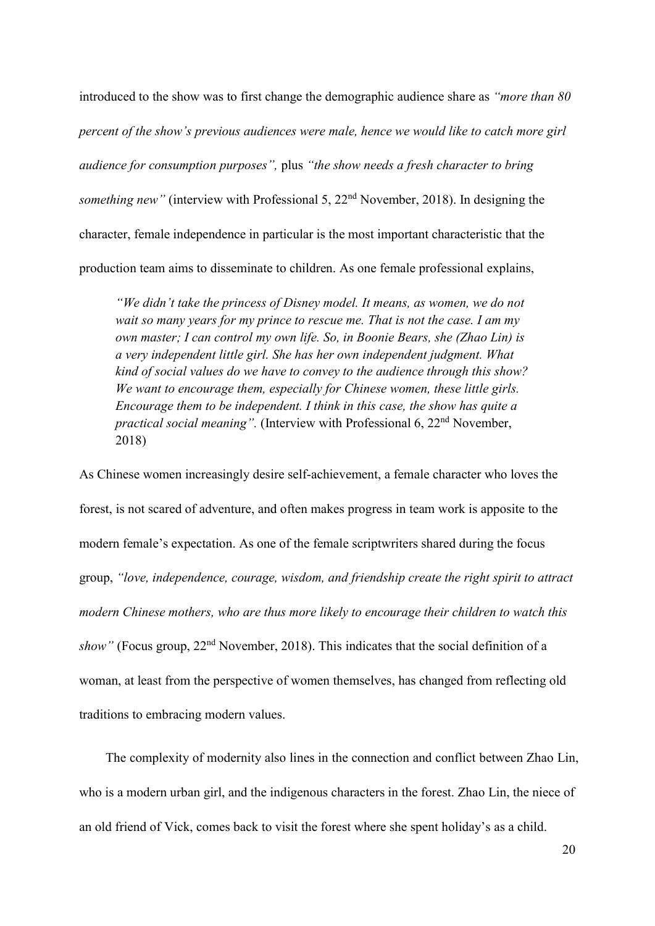introduced to the show was to first change the demographic audience share as "more than 80 percent of the show's previous audiences were male, hence we would like to catch more girl audience for consumption purposes", plus "the show needs a fresh character to bring something new" (interview with Professional 5,  $22<sup>nd</sup>$  November, 2018). In designing the character, female independence in particular is the most important characteristic that the production team aims to disseminate to children. As one female professional explains,

"We didn't take the princess of Disney model. It means, as women, we do not wait so many years for my prince to rescue me. That is not the case. I am my own master; I can control my own life. So, in Boonie Bears, she (Zhao Lin) is a very independent little girl. She has her own independent judgment. What kind of social values do we have to convey to the audience through this show? We want to encourage them, especially for Chinese women, these little girls. Encourage them to be independent. I think in this case, the show has quite a practical social meaning". (Interview with Professional 6, 22<sup>nd</sup> November, 2018)

As Chinese women increasingly desire self-achievement, a female character who loves the forest, is not scared of adventure, and often makes progress in team work is apposite to the modern female's expectation. As one of the female scriptwriters shared during the focus group, "love, independence, courage, wisdom, and friendship create the right spirit to attract modern Chinese mothers, who are thus more likely to encourage their children to watch this show" (Focus group,  $22<sup>nd</sup>$  November, 2018). This indicates that the social definition of a woman, at least from the perspective of women themselves, has changed from reflecting old traditions to embracing modern values.

The complexity of modernity also lines in the connection and conflict between Zhao Lin, who is a modern urban girl, and the indigenous characters in the forest. Zhao Lin, the niece of an old friend of Vick, comes back to visit the forest where she spent holiday's as a child.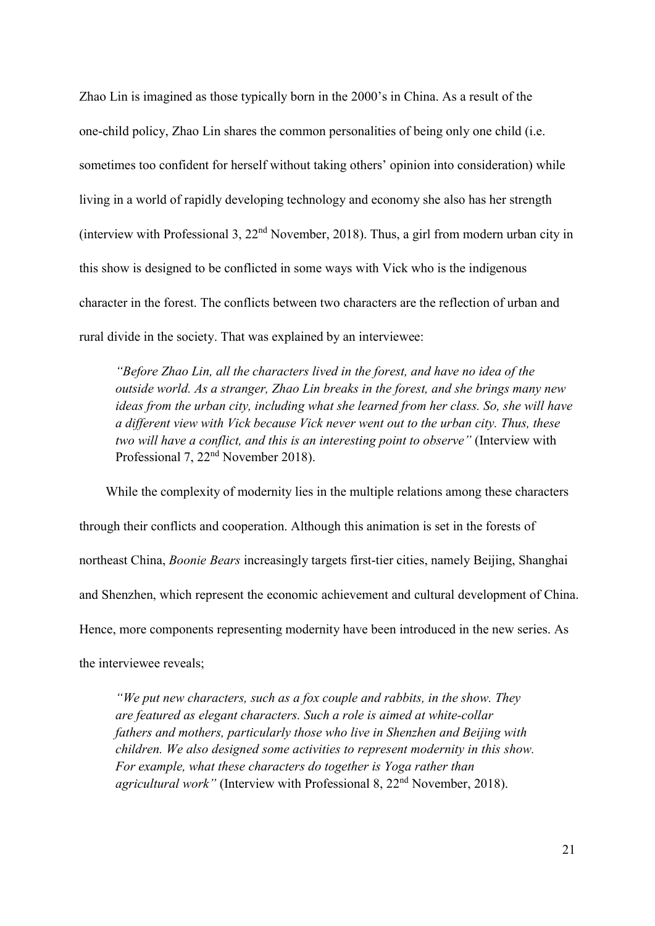Zhao Lin is imagined as those typically born in the 2000's in China. As a result of the one-child policy, Zhao Lin shares the common personalities of being only one child (i.e. sometimes too confident for herself without taking others' opinion into consideration) while living in a world of rapidly developing technology and economy she also has her strength (interview with Professional 3,  $22<sup>nd</sup>$  November, 2018). Thus, a girl from modern urban city in this show is designed to be conflicted in some ways with Vick who is the indigenous character in the forest. The conflicts between two characters are the reflection of urban and rural divide in the society. That was explained by an interviewee:

"Before Zhao Lin, all the characters lived in the forest, and have no idea of the outside world. As a stranger, Zhao Lin breaks in the forest, and she brings many new ideas from the urban city, including what she learned from her class. So, she will have a different view with Vick because Vick never went out to the urban city. Thus, these two will have a conflict, and this is an interesting point to observe" (Interview with Professional 7, 22nd November 2018).

While the complexity of modernity lies in the multiple relations among these characters through their conflicts and cooperation. Although this animation is set in the forests of northeast China, Boonie Bears increasingly targets first-tier cities, namely Beijing, Shanghai and Shenzhen, which represent the economic achievement and cultural development of China. Hence, more components representing modernity have been introduced in the new series. As the interviewee reveals;

"We put new characters, such as a fox couple and rabbits, in the show. They are featured as elegant characters. Such a role is aimed at white-collar fathers and mothers, particularly those who live in Shenzhen and Beijing with children. We also designed some activities to represent modernity in this show. For example, what these characters do together is Yoga rather than agricultural work" (Interview with Professional 8,  $22<sup>nd</sup>$  November, 2018).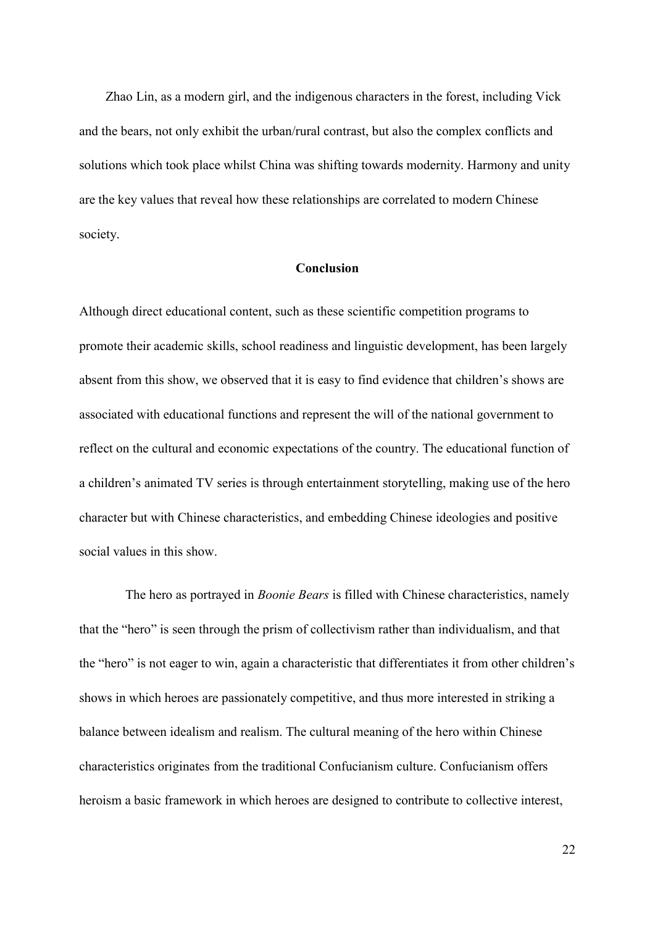Zhao Lin, as a modern girl, and the indigenous characters in the forest, including Vick and the bears, not only exhibit the urban/rural contrast, but also the complex conflicts and solutions which took place whilst China was shifting towards modernity. Harmony and unity are the key values that reveal how these relationships are correlated to modern Chinese society.

## Conclusion

Although direct educational content, such as these scientific competition programs to promote their academic skills, school readiness and linguistic development, has been largely absent from this show, we observed that it is easy to find evidence that children's shows are associated with educational functions and represent the will of the national government to reflect on the cultural and economic expectations of the country. The educational function of a children's animated TV series is through entertainment storytelling, making use of the hero character but with Chinese characteristics, and embedding Chinese ideologies and positive social values in this show.

The hero as portrayed in *Boonie Bears* is filled with Chinese characteristics, namely that the "hero" is seen through the prism of collectivism rather than individualism, and that the "hero" is not eager to win, again a characteristic that differentiates it from other children's shows in which heroes are passionately competitive, and thus more interested in striking a balance between idealism and realism. The cultural meaning of the hero within Chinese characteristics originates from the traditional Confucianism culture. Confucianism offers heroism a basic framework in which heroes are designed to contribute to collective interest,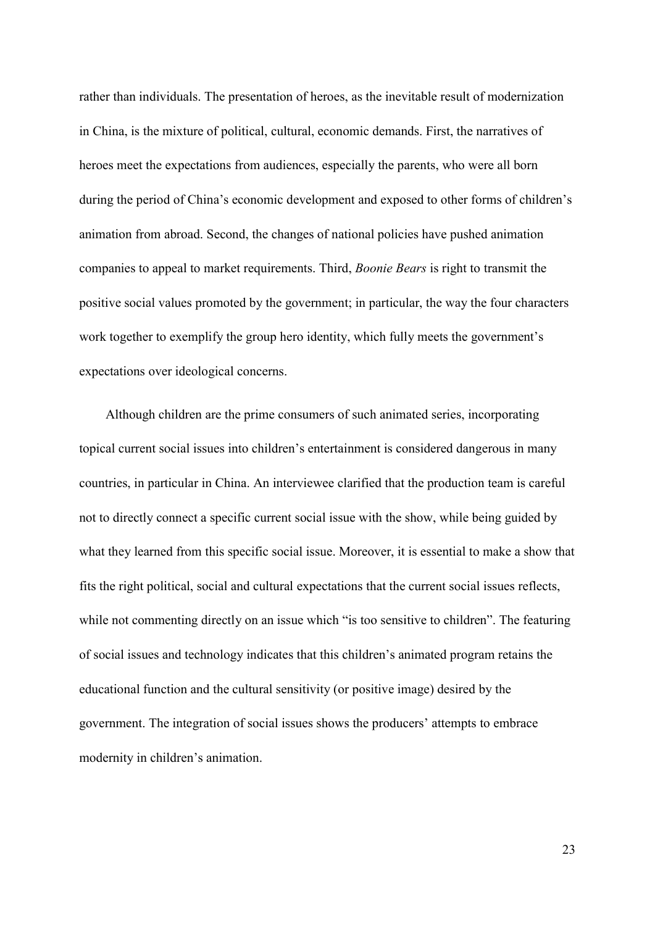rather than individuals. The presentation of heroes, as the inevitable result of modernization in China, is the mixture of political, cultural, economic demands. First, the narratives of heroes meet the expectations from audiences, especially the parents, who were all born during the period of China's economic development and exposed to other forms of children's animation from abroad. Second, the changes of national policies have pushed animation companies to appeal to market requirements. Third, Boonie Bears is right to transmit the positive social values promoted by the government; in particular, the way the four characters work together to exemplify the group hero identity, which fully meets the government's expectations over ideological concerns.

Although children are the prime consumers of such animated series, incorporating topical current social issues into children's entertainment is considered dangerous in many countries, in particular in China. An interviewee clarified that the production team is careful not to directly connect a specific current social issue with the show, while being guided by what they learned from this specific social issue. Moreover, it is essential to make a show that fits the right political, social and cultural expectations that the current social issues reflects, while not commenting directly on an issue which "is too sensitive to children". The featuring of social issues and technology indicates that this children's animated program retains the educational function and the cultural sensitivity (or positive image) desired by the government. The integration of social issues shows the producers' attempts to embrace modernity in children's animation.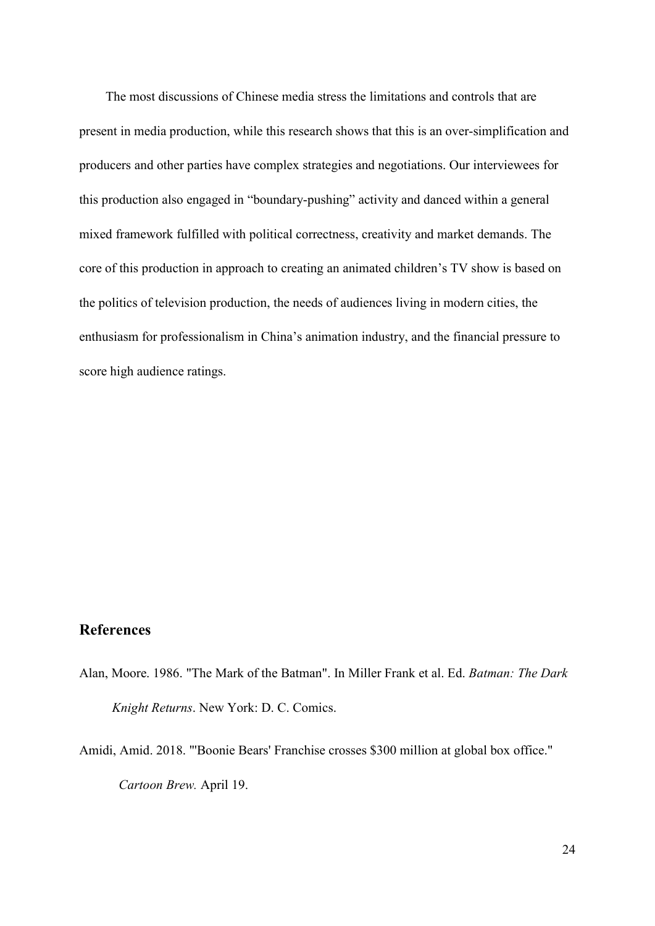The most discussions of Chinese media stress the limitations and controls that are present in media production, while this research shows that this is an over-simplification and producers and other parties have complex strategies and negotiations. Our interviewees for this production also engaged in "boundary-pushing" activity and danced within a general mixed framework fulfilled with political correctness, creativity and market demands. The core of this production in approach to creating an animated children's TV show is based on the politics of television production, the needs of audiences living in modern cities, the enthusiasm for professionalism in China's animation industry, and the financial pressure to score high audience ratings.

## References

- Alan, Moore. 1986. "The Mark of the Batman". In Miller Frank et al. Ed. Batman: The Dark Knight Returns. New York: D. C. Comics.
- Amidi, Amid. 2018. "'Boonie Bears' Franchise crosses \$300 million at global box office." Cartoon Brew. April 19.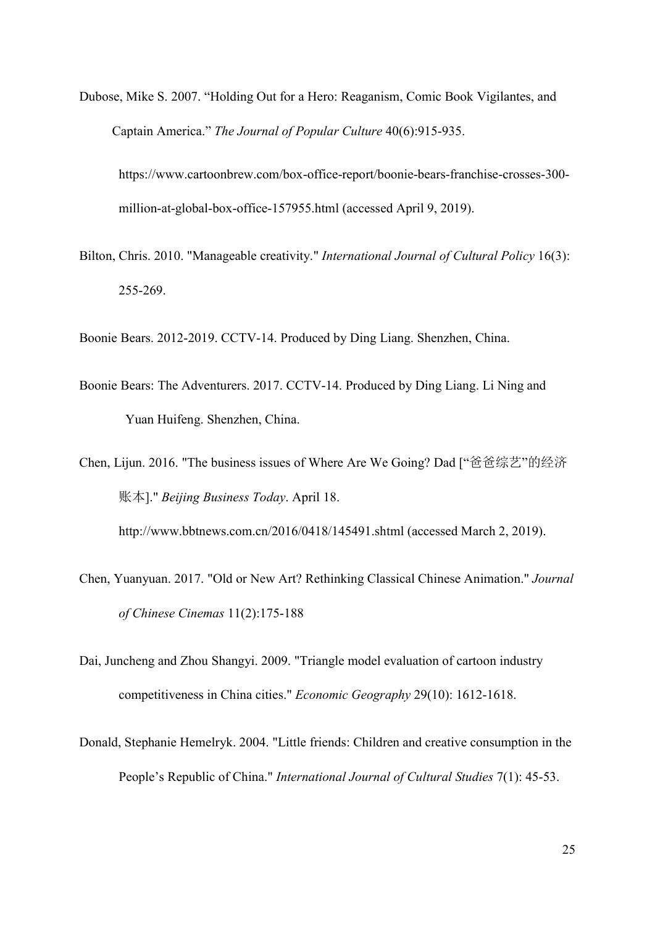Dubose, Mike S. 2007. "Holding Out for a Hero: Reaganism, Comic Book Vigilantes, and Captain America." The Journal of Popular Culture 40(6):915-935.

https://www.cartoonbrew.com/box-office-report/boonie-bears-franchise-crosses-300 million-at-global-box-office-157955.html (accessed April 9, 2019).

Bilton, Chris. 2010. "Manageable creativity." International Journal of Cultural Policy 16(3): 255-269.

Boonie Bears. 2012-2019. CCTV-14. Produced by Ding Liang. Shenzhen, China.

Boonie Bears: The Adventurers. 2017. CCTV-14. Produced by Ding Liang. Li Ning and Yuan Huifeng. Shenzhen, China.

Chen, Lijun. 2016. "The business issues of Where Are We Going? Dad ["爸爸综艺"的经济 账本]." Beijing Business Today. April 18.

http://www.bbtnews.com.cn/2016/0418/145491.shtml (accessed March 2, 2019).

- Chen, Yuanyuan. 2017. "Old or New Art? Rethinking Classical Chinese Animation." Journal of Chinese Cinemas 11(2):175-188
- Dai, Juncheng and Zhou Shangyi. 2009. "Triangle model evaluation of cartoon industry competitiveness in China cities." Economic Geography 29(10): 1612-1618.
- Donald, Stephanie Hemelryk. 2004. "Little friends: Children and creative consumption in the People's Republic of China." International Journal of Cultural Studies 7(1): 45-53.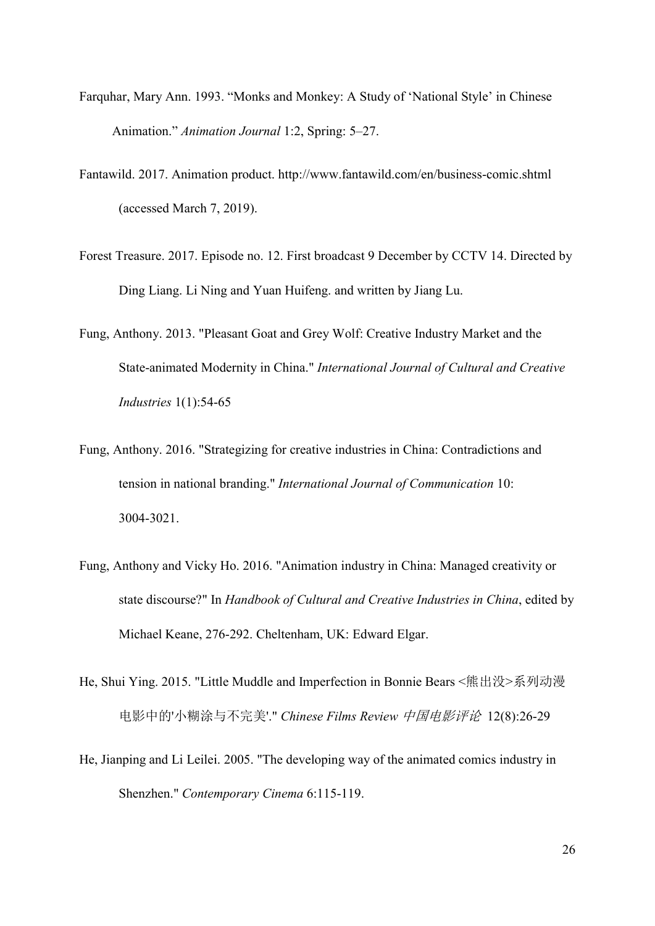- Farquhar, Mary Ann. 1993. "Monks and Monkey: A Study of 'National Style' in Chinese Animation." Animation Journal 1:2, Spring: 5–27.
- Fantawild. 2017. Animation product. http://www.fantawild.com/en/business-comic.shtml (accessed March 7, 2019).
- Forest Treasure. 2017. Episode no. 12. First broadcast 9 December by CCTV 14. Directed by Ding Liang. Li Ning and Yuan Huifeng. and written by Jiang Lu.
- Fung, Anthony. 2013. "Pleasant Goat and Grey Wolf: Creative Industry Market and the State-animated Modernity in China." International Journal of Cultural and Creative Industries 1(1):54-65
- Fung, Anthony. 2016. "Strategizing for creative industries in China: Contradictions and tension in national branding." International Journal of Communication 10: 3004-3021.
- Fung, Anthony and Vicky Ho. 2016. "Animation industry in China: Managed creativity or state discourse?" In Handbook of Cultural and Creative Industries in China, edited by Michael Keane, 276-292. Cheltenham, UK: Edward Elgar.
- He, Shui Ying. 2015. "Little Muddle and Imperfection in Bonnie Bears <熊出没>系列动漫 电影中的'小糊涂与不完美'." Chinese Films Review 中国电影评论 12(8):26-29
- He, Jianping and Li Leilei. 2005. "The developing way of the animated comics industry in Shenzhen." Contemporary Cinema 6:115-119.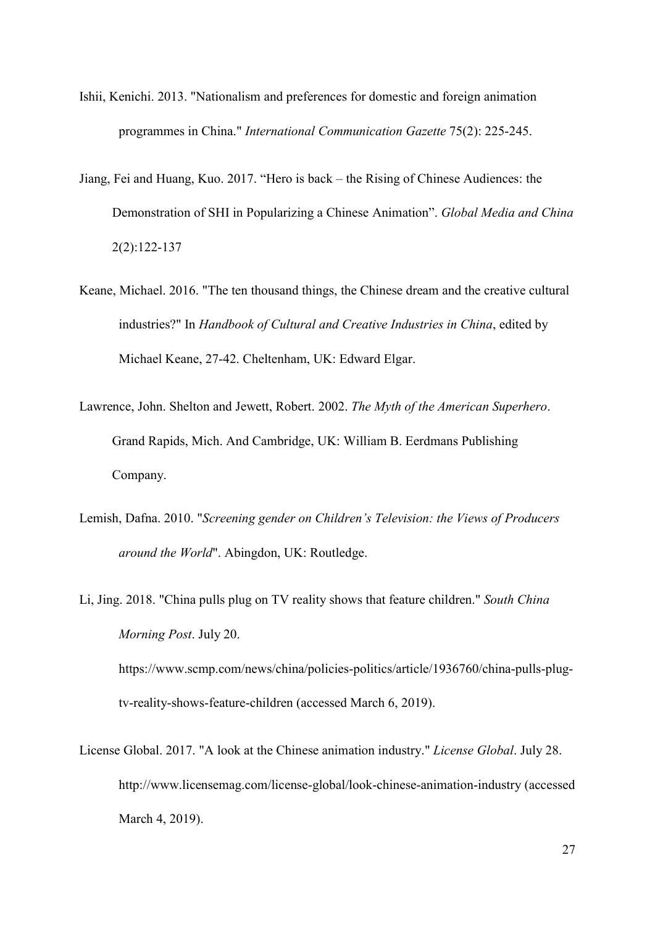- Ishii, Kenichi. 2013. "Nationalism and preferences for domestic and foreign animation programmes in China." International Communication Gazette 75(2): 225-245.
- Jiang, Fei and Huang, Kuo. 2017. "Hero is back the Rising of Chinese Audiences: the Demonstration of SHI in Popularizing a Chinese Animation". Global Media and China 2(2):122-137
- Keane, Michael. 2016. "The ten thousand things, the Chinese dream and the creative cultural industries?" In Handbook of Cultural and Creative Industries in China, edited by Michael Keane, 27-42. Cheltenham, UK: Edward Elgar.
- Lawrence, John. Shelton and Jewett, Robert. 2002. The Myth of the American Superhero. Grand Rapids, Mich. And Cambridge, UK: William B. Eerdmans Publishing Company.
- Lemish, Dafna. 2010. "Screening gender on Children's Television: the Views of Producers around the World". Abingdon, UK: Routledge.
- Li, Jing. 2018. "China pulls plug on TV reality shows that feature children." South China Morning Post. July 20. https://www.scmp.com/news/china/policies-politics/article/1936760/china-pulls-plugtv-reality-shows-feature-children (accessed March 6, 2019).
- License Global. 2017. "A look at the Chinese animation industry." License Global. July 28. http://www.licensemag.com/license-global/look-chinese-animation-industry (accessed March 4, 2019).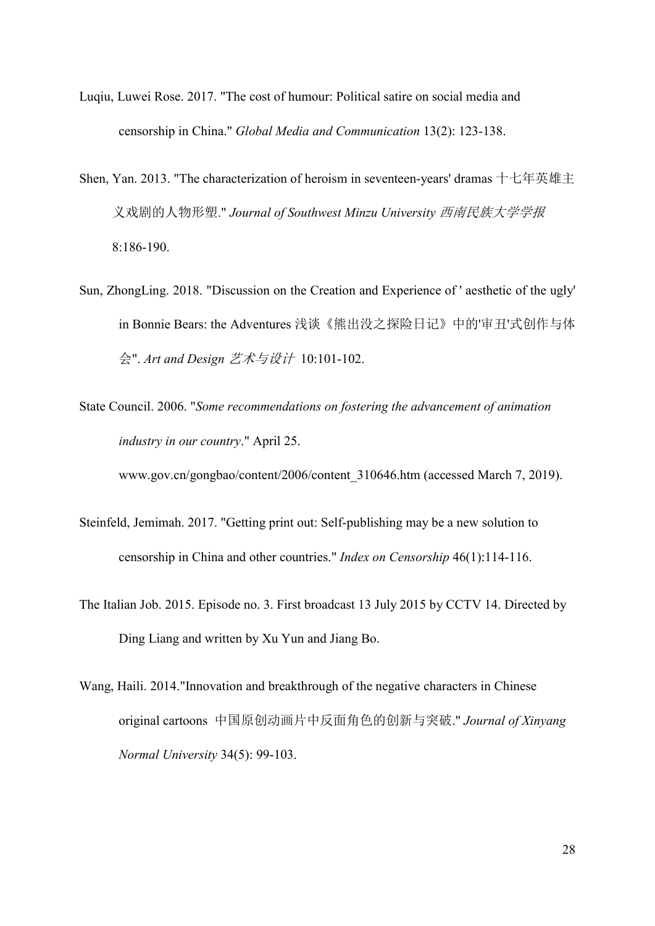- Luqiu, Luwei Rose. 2017. "The cost of humour: Political satire on social media and censorship in China." Global Media and Communication 13(2): 123-138.
- Shen, Yan. 2013. "The characterization of heroism in seventeen-years' dramas 十七年英雄主 义戏剧的人物形塑." Journal of Southwest Minzu University 西南民族大学学报 8:186-190.
- Sun, ZhongLing. 2018. "Discussion on the Creation and Experience of ' aesthetic of the ugly' in Bonnie Bears: the Adventures 浅谈《熊出没之探险日记》中的'审丑'式创作与体 会". Art and Design 艺术与设计 10:101-102.
- State Council. 2006. "Some recommendations on fostering the advancement of animation industry in our country." April 25.

www.gov.cn/gongbao/content/2006/content\_310646.htm (accessed March 7, 2019).

- Steinfeld, Jemimah. 2017. "Getting print out: Self-publishing may be a new solution to censorship in China and other countries." Index on Censorship 46(1):114-116.
- The Italian Job. 2015. Episode no. 3. First broadcast 13 July 2015 by CCTV 14. Directed by Ding Liang and written by Xu Yun and Jiang Bo.
- Wang, Haili. 2014."Innovation and breakthrough of the negative characters in Chinese original cartoons 中国原创动画片中反面角色的创新与突破." Journal of Xinyang Normal University 34(5): 99-103.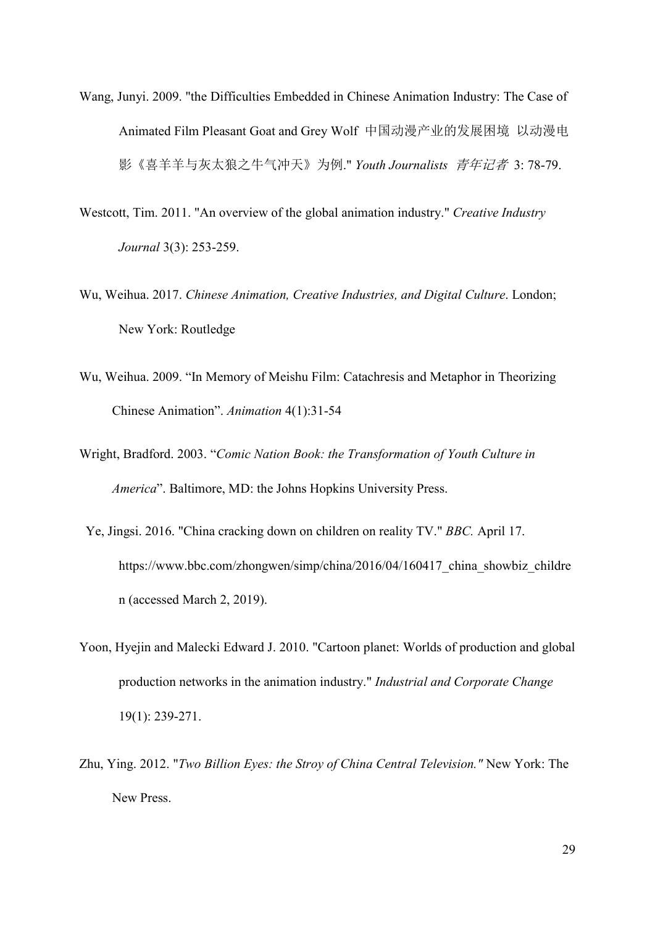- Wang, Junyi. 2009. "the Difficulties Embedded in Chinese Animation Industry: The Case of Animated Film Pleasant Goat and Grey Wolf 中国动漫产业的发展困境 以动漫电 影《喜羊羊与灰太狼之牛气冲天》为例." Youth Journalists *青年记者* 3: 78-79.
- Westcott, Tim. 2011. "An overview of the global animation industry." Creative Industry Journal 3(3): 253-259.
- Wu, Weihua. 2017. Chinese Animation, Creative Industries, and Digital Culture. London; New York: Routledge
- Wu, Weihua. 2009. "In Memory of Meishu Film: Catachresis and Metaphor in Theorizing Chinese Animation". Animation 4(1):31-54
- Wright, Bradford. 2003. "Comic Nation Book: the Transformation of Youth Culture in America". Baltimore, MD: the Johns Hopkins University Press.
- Ye, Jingsi. 2016. "China cracking down on children on reality TV." BBC. April 17. https://www.bbc.com/zhongwen/simp/china/2016/04/160417 china showbiz childre n (accessed March 2, 2019).
- Yoon, Hyejin and Malecki Edward J. 2010. "Cartoon planet: Worlds of production and global production networks in the animation industry." Industrial and Corporate Change 19(1): 239-271.
- Zhu, Ying. 2012. "Two Billion Eyes: the Stroy of China Central Television." New York: The New Press.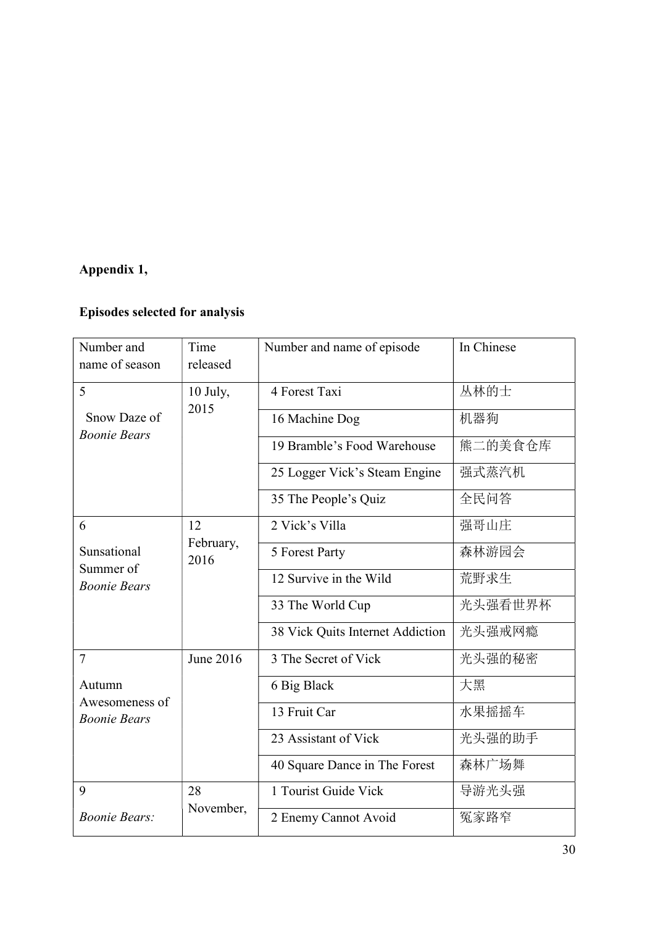# Appendix 1,

# Episodes selected for analysis

| Number and<br>name of season                         | Time<br>released        | Number and name of episode       | In Chinese |
|------------------------------------------------------|-------------------------|----------------------------------|------------|
| 5<br>Snow Daze of<br><b>Boonie Bears</b>             | 10 July,<br>2015        | 4 Forest Taxi                    | 丛林的士       |
|                                                      |                         | 16 Machine Dog                   | 机器狗        |
|                                                      |                         | 19 Bramble's Food Warehouse      | 熊二的美食仓库    |
|                                                      |                         | 25 Logger Vick's Steam Engine    | 强式蒸汽机      |
|                                                      |                         | 35 The People's Quiz             | 全民问答       |
| 6<br>Sunsational<br>Summer of<br><b>Boonie Bears</b> | 12<br>February,<br>2016 | 2 Vick's Villa                   | 强哥山庄       |
|                                                      |                         | 5 Forest Party                   | 森林游园会      |
|                                                      |                         | 12 Survive in the Wild           | 荒野求生       |
|                                                      |                         | 33 The World Cup                 | 光头强看世界杯    |
|                                                      |                         | 38 Vick Quits Internet Addiction | 光头强戒网瘾     |
| $\overline{7}$                                       | June 2016               | 3 The Secret of Vick             | 光头强的秘密     |
| Autumn<br>Awesomeness of<br><b>Boonie Bears</b>      |                         | 6 Big Black                      | 大黑         |
|                                                      |                         | 13 Fruit Car                     | 水果摇摇车      |
|                                                      |                         | 23 Assistant of Vick             | 光头强的助手     |
|                                                      |                         | 40 Square Dance in The Forest    | 森林广场舞      |
| 9                                                    | 28<br>November,         | 1 Tourist Guide Vick             | 导游光头强      |
| <b>Boonie Bears:</b>                                 |                         | 2 Enemy Cannot Avoid             | 冤家路窄       |